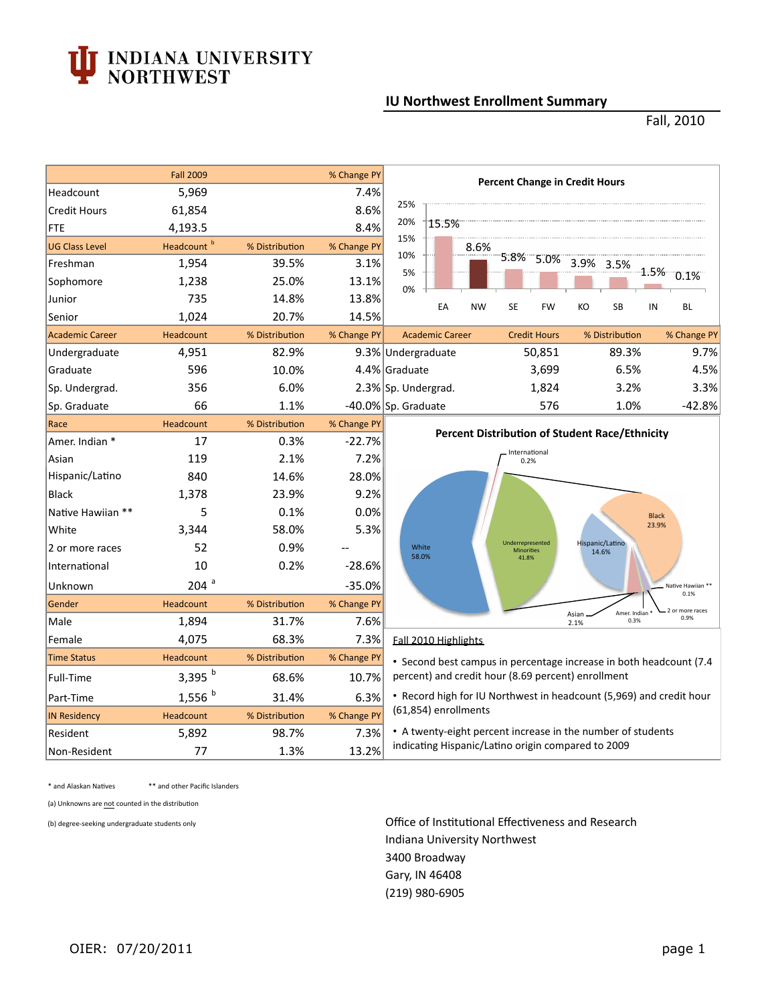## **INDIANA UNIVERSITY<br>NORTHWEST**

## **IU Northwest Enrollment Summary**

Fall, 2010

| 5,969<br>7.4%<br>Headcount<br>25%<br>8.6%<br>61,854<br><b>Credit Hours</b><br>20%<br>15.5%<br>4,193.5<br>8.4%<br><b>FTE</b><br>15%<br>Headcount <sup>b</sup><br>% Distribution<br>% Change PY<br><b>UG Class Level</b><br>8.6%<br>10%<br>5.8%<br>3.1%<br>1,954<br>39.5%<br>Freshman<br>5%<br>1,238<br>25.0%<br>13.1%<br>Sophomore<br>0%<br>735<br>14.8%<br>13.8%<br>Junior<br>EA<br><b>NW</b><br>SE<br>1,024<br>20.7%<br>14.5%<br>Senior<br><b>Academic Career</b><br>Headcount<br>% Distribution<br>% Change PY<br><b>Academic Career</b> | <b>Percent Change in Credit Hours</b><br>5.0%<br>3.9%<br>KO<br>FW<br><b>Credit Hours</b><br>50,851                       | 3.5%<br>SB<br>% Distribution | 1.5%<br>0.1%<br>BL<br>IN<br>% Change PY |  |  |  |
|--------------------------------------------------------------------------------------------------------------------------------------------------------------------------------------------------------------------------------------------------------------------------------------------------------------------------------------------------------------------------------------------------------------------------------------------------------------------------------------------------------------------------------------------|--------------------------------------------------------------------------------------------------------------------------|------------------------------|-----------------------------------------|--|--|--|
|                                                                                                                                                                                                                                                                                                                                                                                                                                                                                                                                            |                                                                                                                          |                              |                                         |  |  |  |
|                                                                                                                                                                                                                                                                                                                                                                                                                                                                                                                                            |                                                                                                                          |                              |                                         |  |  |  |
|                                                                                                                                                                                                                                                                                                                                                                                                                                                                                                                                            |                                                                                                                          |                              |                                         |  |  |  |
|                                                                                                                                                                                                                                                                                                                                                                                                                                                                                                                                            |                                                                                                                          |                              |                                         |  |  |  |
|                                                                                                                                                                                                                                                                                                                                                                                                                                                                                                                                            |                                                                                                                          |                              |                                         |  |  |  |
|                                                                                                                                                                                                                                                                                                                                                                                                                                                                                                                                            |                                                                                                                          |                              |                                         |  |  |  |
|                                                                                                                                                                                                                                                                                                                                                                                                                                                                                                                                            |                                                                                                                          |                              |                                         |  |  |  |
|                                                                                                                                                                                                                                                                                                                                                                                                                                                                                                                                            |                                                                                                                          |                              |                                         |  |  |  |
|                                                                                                                                                                                                                                                                                                                                                                                                                                                                                                                                            |                                                                                                                          |                              |                                         |  |  |  |
| 82.9%<br>4,951<br>9.3% Undergraduate<br>Undergraduate                                                                                                                                                                                                                                                                                                                                                                                                                                                                                      |                                                                                                                          | 89.3%                        | 9.7%                                    |  |  |  |
| 596<br>10.0%<br>4.4% Graduate<br>Graduate                                                                                                                                                                                                                                                                                                                                                                                                                                                                                                  | 3,699                                                                                                                    | 6.5%                         | 4.5%                                    |  |  |  |
| 6.0%<br>356<br>2.3% Sp. Undergrad.<br>Sp. Undergrad.                                                                                                                                                                                                                                                                                                                                                                                                                                                                                       | 1,824                                                                                                                    | 3.2%                         | 3.3%                                    |  |  |  |
| 66<br>-40.0% Sp. Graduate<br>1.1%<br>Sp. Graduate                                                                                                                                                                                                                                                                                                                                                                                                                                                                                          | 576                                                                                                                      | 1.0%                         | $-42.8%$                                |  |  |  |
| Headcount<br>% Distribution<br>Race<br>% Change PY                                                                                                                                                                                                                                                                                                                                                                                                                                                                                         |                                                                                                                          |                              |                                         |  |  |  |
| 17<br>Amer. Indian *<br>0.3%<br>$-22.7%$                                                                                                                                                                                                                                                                                                                                                                                                                                                                                                   | <b>Percent Distribution of Student Race/Ethnicity</b>                                                                    |                              |                                         |  |  |  |
| 2.1%<br>7.2%<br>119<br>Asian                                                                                                                                                                                                                                                                                                                                                                                                                                                                                                               | International<br>0.2%                                                                                                    |                              |                                         |  |  |  |
| Hispanic/Latino<br>14.6%<br>840<br>28.0%                                                                                                                                                                                                                                                                                                                                                                                                                                                                                                   |                                                                                                                          |                              |                                         |  |  |  |
| 1,378<br>23.9%<br>9.2%<br><b>Black</b>                                                                                                                                                                                                                                                                                                                                                                                                                                                                                                     |                                                                                                                          |                              |                                         |  |  |  |
| 5<br>Native Hawiian **<br>0.1%<br>0.0%                                                                                                                                                                                                                                                                                                                                                                                                                                                                                                     |                                                                                                                          |                              | <b>Black</b>                            |  |  |  |
| White<br>3,344<br>58.0%<br>5.3%                                                                                                                                                                                                                                                                                                                                                                                                                                                                                                            |                                                                                                                          |                              | 23.9%                                   |  |  |  |
| 0.9%<br>52<br>White<br>2 or more races<br>58.0%                                                                                                                                                                                                                                                                                                                                                                                                                                                                                            | Underrepresented<br><b>Minorities</b>                                                                                    | Hispanic/Latino<br>14.6%     |                                         |  |  |  |
| 10<br>0.2%<br>$-28.6%$<br>International                                                                                                                                                                                                                                                                                                                                                                                                                                                                                                    | 41.8%                                                                                                                    |                              |                                         |  |  |  |
| $204$ <sup>a</sup><br>$-35.0%$<br>Unknown                                                                                                                                                                                                                                                                                                                                                                                                                                                                                                  |                                                                                                                          |                              | Native Hawijan<br>0.1%                  |  |  |  |
| Gender<br>Headcount<br>% Distribution<br>% Change PY                                                                                                                                                                                                                                                                                                                                                                                                                                                                                       |                                                                                                                          |                              | 2 or more races                         |  |  |  |
| 7.6%<br>1,894<br>31.7%<br>Male                                                                                                                                                                                                                                                                                                                                                                                                                                                                                                             | Asian<br>2.1%                                                                                                            | Amer. Indian<br>0.3%         | 0.9%                                    |  |  |  |
| 68.3%<br>4,075<br>7.3%<br>Female<br>Fall 2010 Highlights                                                                                                                                                                                                                                                                                                                                                                                                                                                                                   |                                                                                                                          |                              |                                         |  |  |  |
| % Distribution<br><b>Time Status</b><br>Headcount<br>% Change PY                                                                                                                                                                                                                                                                                                                                                                                                                                                                           | • Second best campus in percentage increase in both headcount (7.4<br>percent) and credit hour (8.69 percent) enrollment |                              |                                         |  |  |  |
| 3,395 $b$<br>68.6%<br>10.7%<br>Full-Time                                                                                                                                                                                                                                                                                                                                                                                                                                                                                                   |                                                                                                                          |                              |                                         |  |  |  |
| $1,556$ <sup>b</sup><br>• Record high for IU Northwest in headcount (5,969) and credit hour<br>31.4%<br>6.3%<br>Part-Time                                                                                                                                                                                                                                                                                                                                                                                                                  |                                                                                                                          |                              |                                         |  |  |  |
| (61,854) enrollments<br>Headcount<br>% Change PY<br><b>IN Residency</b><br>% Distribution                                                                                                                                                                                                                                                                                                                                                                                                                                                  |                                                                                                                          |                              |                                         |  |  |  |
| • A twenty-eight percent increase in the number of students<br>98.7%<br>7.3%<br>5,892<br>Resident                                                                                                                                                                                                                                                                                                                                                                                                                                          |                                                                                                                          |                              |                                         |  |  |  |
| 77<br>1.3%<br>13.2%<br>Non-Resident                                                                                                                                                                                                                                                                                                                                                                                                                                                                                                        | indicating Hispanic/Latino origin compared to 2009                                                                       |                              |                                         |  |  |  |

 $*$  and Alaskan Natives \*\* and other Pacific Islanders

(a) Unknowns are not counted in the distribution

(b) degree-seeking undergraduate students only

Office of Institutional Effectiveness and Research Indiana University Northwest 3400 Broadway Gary, IN 46408 (219) 980-6905